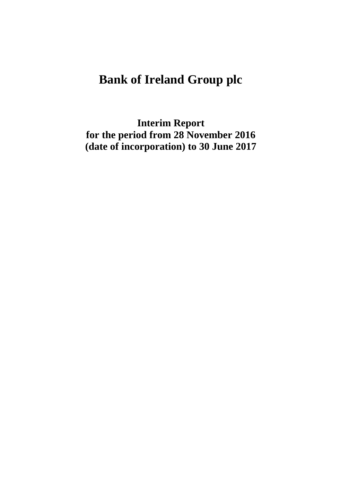# **Bank of Ireland Group plc**

**Interim Report for the period from 28 November 2016 (date of incorporation) to 30 June 2017**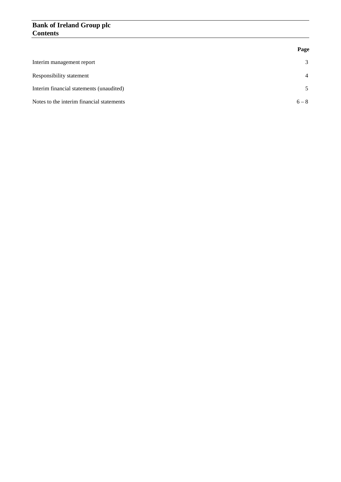# **Bank of Ireland Group plc Contents**

|                                           | Page           |
|-------------------------------------------|----------------|
| Interim management report                 | 3              |
| Responsibility statement                  | $\overline{4}$ |
| Interim financial statements (unaudited)  | 5              |
| Notes to the interim financial statements | $6 - 8$        |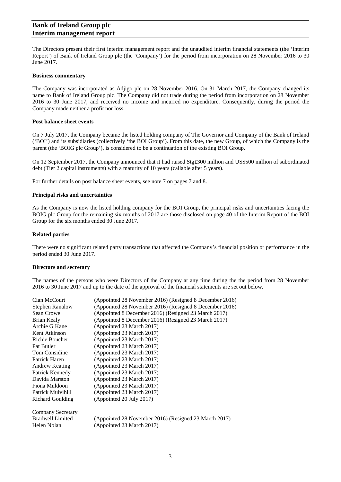# **Bank of Ireland Group plc Interim management report**

The Directors present their first interim management report and the unaudited interim financial statements (the 'Interim Report') of Bank of Ireland Group plc (the 'Company') for the period from incorporation on 28 November 2016 to 30 June 2017.

#### **Business commentary**

The Company was incorporated as Adjigo plc on 28 November 2016. On 31 March 2017, the Company changed its name to Bank of Ireland Group plc. The Company did not trade during the period from incorporation on 28 November 2016 to 30 June 2017, and received no income and incurred no expenditure. Consequently, during the period the Company made neither a profit nor loss.

#### **Post balance sheet events**

On 7 July 2017, the Company became the listed holding company of The Governor and Company of the Bank of Ireland ('BOI') and its subsidiaries (collectively 'the BOI Group'). From this date, the new Group, of which the Company is the parent (the 'BOIG plc Group'), is considered to be a continuation of the existing BOI Group.

On 12 September 2017, the Company announced that it had raised Stg£300 million and US\$500 million of subordinated debt (Tier 2 capital instruments) with a maturity of 10 years (callable after 5 years).

For further details on post balance sheet events, see note 7 on pages 7 and 8.

#### **Principal risks and uncertainties**

As the Company is now the listed holding company for the BOI Group, the principal risks and uncertainties facing the BOIG plc Group for the remaining six months of 2017 are those disclosed on page 40 of the Interim Report of the BOI Group for the six months ended 30 June 2017.

#### **Related parties**

There were no significant related party transactions that affected the Company's financial position or performance in the period ended 30 June 2017.

#### **Directors and secretary**

The names of the persons who were Directors of the Company at any time during the the period from 28 November 2016 to 30 June 2017 and up to the date of the approval of the financial statements are set out below.

| Cian McCourt             | (Appointed 28 November 2016) (Resigned 8 December 2016) |
|--------------------------|---------------------------------------------------------|
| <b>Stephen Ranalow</b>   | (Appointed 28 November 2016) (Resigned 8 December 2016) |
| Sean Crowe               | (Appointed 8 December 2016) (Resigned 23 March 2017)    |
| Brian Kealy              | (Appointed 8 December 2016) (Resigned 23 March 2017)    |
| Archie G Kane            | (Appointed 23 March 2017)                               |
| Kent Atkinson            | (Appointed 23 March 2017)                               |
| Richie Boucher           | (Appointed 23 March 2017)                               |
| Pat Butler               | (Appointed 23 March 2017)                               |
| Tom Considine            | (Appointed 23 March 2017)                               |
| Patrick Haren            | (Appointed 23 March 2017)                               |
| <b>Andrew Keating</b>    | (Appointed 23 March 2017)                               |
| Patrick Kennedy          | (Appointed 23 March 2017)                               |
| Davida Marston           | (Appointed 23 March 2017)                               |
| Fiona Muldoon            | (Appointed 23 March 2017)                               |
| Patrick Mulvihill        | (Appointed 23 March 2017)                               |
| <b>Richard Goulding</b>  | (Appointed 20 July 2017)                                |
| <b>Company Secretary</b> |                                                         |
| <b>Bradwell Limited</b>  | (Appointed 28 November 2016) (Resigned 23 March 2017)   |
| Helen Nolan              | (Appointed 23 March 2017)                               |
|                          |                                                         |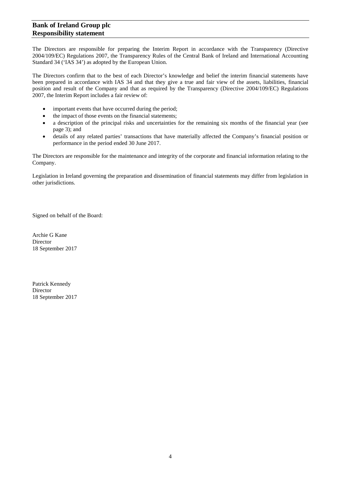# **Bank of Ireland Group plc Responsibility statement**

The Directors are responsible for preparing the Interim Report in accordance with the Transparency (Directive 2004/109/EC) Regulations 2007, the Transparency Rules of the Central Bank of Ireland and International Accounting Standard 34 ('IAS 34') as adopted by the European Union.

The Directors confirm that to the best of each Director's knowledge and belief the interim financial statements have been prepared in accordance with IAS 34 and that they give a true and fair view of the assets, liabilities, financial position and result of the Company and that as required by the Transparency (Directive 2004/109/EC) Regulations 2007, the Interim Report includes a fair review of:

- important events that have occurred during the period;
- the impact of those events on the financial statements;
- a description of the principal risks and uncertainties for the remaining six months of the financial year (see page 3); and
- details of any related parties' transactions that have materially affected the Company's financial position or performance in the period ended 30 June 2017.

The Directors are responsible for the maintenance and integrity of the corporate and financial information relating to the Company.

Legislation in Ireland governing the preparation and dissemination of financial statements may differ from legislation in other jurisdictions.

Signed on behalf of the Board:

Archie G Kane Director 18 September 2017

Patrick Kennedy Director 18 September 2017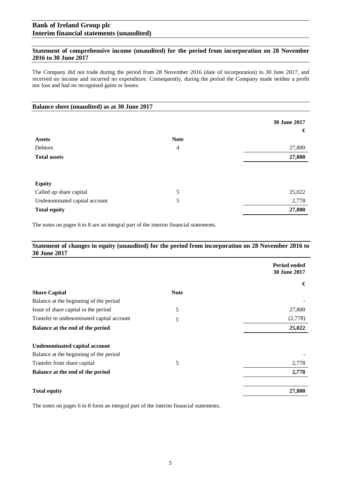# **Bank of Ireland Group plc Interim financial statements (unaudited)**

# **Statement of comprehensive income (unaudited) for the period from incorporation on 28 November 2016 to 30 June 2017**

The Company did not trade during the period from 28 November 2016 (date of incorporation) to 30 June 2017, and received no income and incurred no expenditure. Consequently, during the period the Company made neither a profit nor loss and had no recognised gains or losses.

| Balance sheet (unaudited) as at 30 June 2017 |                |              |
|----------------------------------------------|----------------|--------------|
|                                              |                | 30 June 2017 |
|                                              |                | €            |
| <b>Assets</b>                                | <b>Note</b>    |              |
| Debtors                                      | $\overline{4}$ | 27,800       |
| <b>Total assets</b>                          |                | 27,800       |
|                                              |                |              |
| <b>Equity</b>                                |                |              |
| Called up share capital                      | 5              | 25,022       |
| Undenominated capital account                | 5              | 2,778        |
| <b>Total equity</b>                          |                | 27,800       |

The notes on pages 6 to 8 are an integral part of the interim financial statements.

# **Statement of changes in equity (unaudited) for the period from incorporation on 28 November 2016 to 30 June 2017**

|                                           |             | <b>Period ended</b><br>30 June 2017 |
|-------------------------------------------|-------------|-------------------------------------|
|                                           |             | €                                   |
| <b>Share Capital</b>                      | <b>Note</b> |                                     |
| Balance at the beginning of the period    |             |                                     |
| Issue of share capital in the period      | 5           | 27,800                              |
| Transfer to undenominated capital account | 5           | (2,778)                             |
| Balance at the end of the period          |             | 25,022                              |
| <b>Undenominated capital account</b>      |             |                                     |
| Balance at the beginning of the period    |             |                                     |
| Transfer from share capital               | 5           | 2,778                               |
| Balance at the end of the period          |             | 2,778                               |
| <b>Total equity</b>                       |             | 27,800                              |

The notes on pages 6 to 8 form an integral part of the interim financial statements.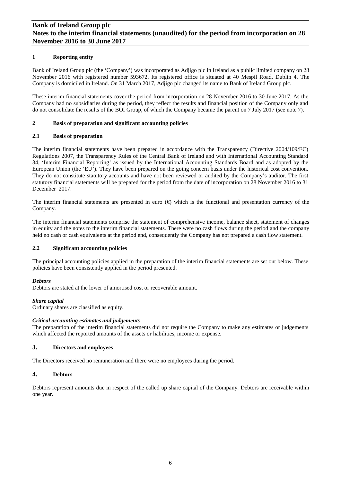# **Bank of Ireland Group plc Notes to the interim financial statements (unaudited) for the period from incorporation on 28 November 2016 to 30 June 2017**

## **1 Reporting entity**

Bank of Ireland Group plc (the 'Company') was incorporated as Adjigo plc in Ireland as a public limited company on 28 November 2016 with registered number 593672. Its registered office is situated at 40 Mespil Road, Dublin 4. The Company is domiciled in Ireland. On 31 March 2017, Adjigo plc changed its name to Bank of Ireland Group plc.

These interim financial statements cover the period from incorporation on 28 November 2016 to 30 June 2017. As the Company had no subsidiaries during the period, they reflect the results and financial position of the Company only and do not consolidate the results of the BOI Group, of which the Company became the parent on 7 July 2017 (see note 7).

## **2 Basis of preparation and significant accounting policies**

### **2.1 Basis of preparation**

The interim financial statements have been prepared in accordance with the Transparency (Directive 2004/109/EC) Regulations 2007, the Transparency Rules of the Central Bank of Ireland and with International Accounting Standard 34, 'Interim Financial Reporting' as issued by the International Accounting Standards Board and as adopted by the European Union (the 'EU'). They have been prepared on the going concern basis under the historical cost convention. They do not constitute statutory accounts and have not been reviewed or audited by the Company's auditor. The first statutory financial statements will be prepared for the period from the date of incorporation on 28 November 2016 to 31 December 2017.

The interim financial statements are presented in euro  $(\theta)$  which is the functional and presentation currency of the Company.

The interim financial statements comprise the statement of comprehensive income, balance sheet, statement of changes in equity and the notes to the interim financial statements. There were no cash flows during the period and the company held no cash or cash equivalents at the period end, consequently the Company has not prepared a cash flow statement.

# **2.2 Significant accounting policies**

The principal accounting policies applied in the preparation of the interim financial statements are set out below. These policies have been consistently applied in the period presented.

# *Debtors*

Debtors are stated at the lower of amortised cost or recoverable amount.

#### *Share capital*

Ordinary shares are classified as equity.

#### *Critical accounting estimates and judgements*

The preparation of the interim financial statements did not require the Company to make any estimates or judgements which affected the reported amounts of the assets or liabilities, income or expense.

# **3. Directors and employees**

The Directors received no remuneration and there were no employees during the period.

#### **4. Debtors**

Debtors represent amounts due in respect of the called up share capital of the Company. Debtors are receivable within one year.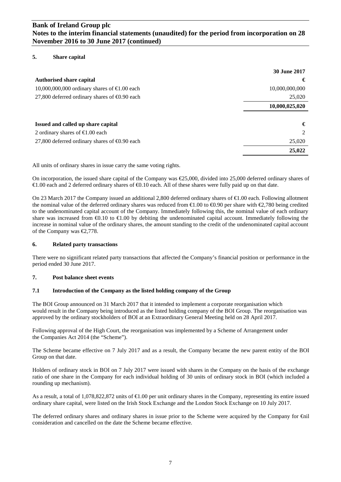# **Bank of Ireland Group plc Notes to the interim financial statements (unaudited) for the period from incorporation on 28 November 2016 to 30 June 2017 (continued)**

# **5. Share capital**

|                                                      | <b>30 June 2017</b> |
|------------------------------------------------------|---------------------|
| <b>Authorised share capital</b>                      | €                   |
| 10,000,000,000 ordinary shares of $\in$ 0.00 each    | 10,000,000,000      |
| 27,800 deferred ordinary shares of $\Theta$ .90 each | 25,020              |
|                                                      | 10,000,025,020      |
|                                                      |                     |
| Issued and called up share capital                   | €                   |
| 2 ordinary shares of $\bigoplus$ 00 each             | 2                   |
| 27,800 deferred ordinary shares of $\Theta$ .90 each | 25,020              |
|                                                      | 25,022              |

All units of ordinary shares in issue carry the same voting rights.

On incorporation, the issued share capital of the Company was €25,000, divided into 25,000 deferred ordinary shares of €1.00 each and 2 deferred ordinary shares of €0.10 each. All of these shares were fully paid up on that date.

On 23 March 2017 the Company issued an additional 2,800 deferred ordinary shares of €1.00 each. Following allotment the nominal value of the deferred ordinary shares was reduced from  $\epsilon 1.00$  to  $\epsilon 0.90$  per share with  $\epsilon 2.780$  being credited to the undenominated capital account of the Company. Immediately following this, the nominal value of each ordinary share was increased from  $\bigoplus$ .10 to  $\bigoplus$ .00 by debiting the undenominated capital account. Immediately following the increase in nominal value of the ordinary shares, the amount standing to the credit of the undenominated capital account of the Company was €2,778.

# **6. Related party transactions**

There were no significant related party transactions that affected the Company's financial position or performance in the period ended 30 June 2017.

#### **7. Post balance sheet events**

#### **7.1 Introduction of the Company as the listed holding company of the Group**

The BOI Group announced on 31 March 2017 that it intended to implement a corporate reorganisation which would result in the Company being introduced as the listed holding company of the BOI Group. The reorganisation was approved by the ordinary stockholders of BOI at an Extraordinary General Meeting held on 28 April 2017.

Following approval of the High Court, the reorganisation was implemented by a Scheme of Arrangement under the Companies Act 2014 (the "Scheme").

The Scheme became effective on 7 July 2017 and as a result, the Company became the new parent entity of the BOI Group on that date.

Holders of ordinary stock in BOI on 7 July 2017 were issued with shares in the Company on the basis of the exchange ratio of one share in the Company for each individual holding of 30 units of ordinary stock in BOI (which included a rounding up mechanism).

As a result, a total of 1,078,822,872 units of €1.00 per unit ordinary shares in the Company, representing its entire issued ordinary share capital, were listed on the Irish Stock Exchange and the London Stock Exchange on 10 July 2017.

The deferred ordinary shares and ordinary shares in issue prior to the Scheme were acquired by the Company for €nil consideration and cancelled on the date the Scheme became effective.